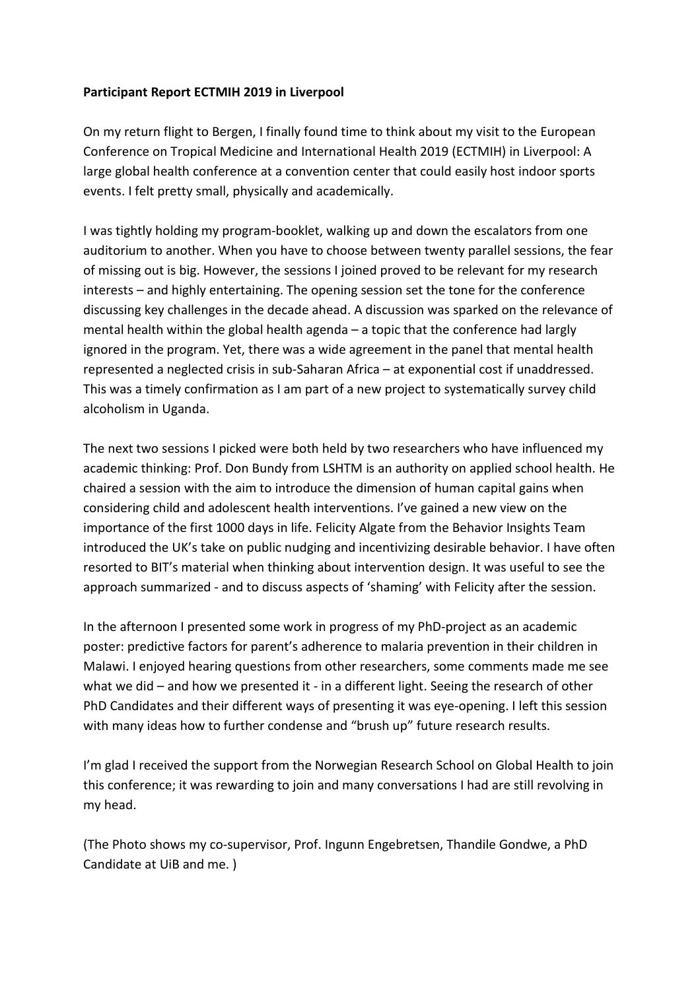## **Participant Report ECTMIH 2019 in Liverpool**

On my return flight to Bergen, I finally found time to think about my visit to the European Conference on Tropical Medicine and International Health 2019 (ECTMIH) in Liverpool: A large global health conference at a convention center that could easily host indoor sports events. I felt pretty small, physically and academically.

I was tightly holding my program-booklet, walking up and down the escalators from one auditorium to another. When you have to choose between twenty parallel sessions, the fear of missing out is big. However, the sessions I joined proved to be relevant for my research interests – and highly entertaining. The opening session set the tone for the conference discussing key challenges in the decade ahead. A discussion was sparked on the relevance of mental health within the global health agenda – a topic that the conference had largly ignored in the program. Yet, there was a wide agreement in the panel that mental health represented a neglected crisis in sub-Saharan Africa – at exponential cost if unaddressed. This was a timely confirmation as I am part of a new project to systematically survey child alcoholism in Uganda.

The next two sessions I picked were both held by two researchers who have influenced my academic thinking: Prof. Don Bundy from LSHTM is an authority on applied school health. He chaired a session with the aim to introduce the dimension of human capital gains when considering child and adolescent health interventions. I've gained a new view on the importance of the first 1000 days in life. Felicity Algate from the Behavior Insights Team introduced the UK's take on public nudging and incentivizing desirable behavior. I have often resorted to BIT's material when thinking about intervention design. It was useful to see the approach summarized - and to discuss aspects of 'shaming' with Felicity after the session.

In the afternoon I presented some work in progress of my PhD-project as an academic poster: predictive factors for parent's adherence to malaria prevention in their children in Malawi. I enjoyed hearing questions from other researchers, some comments made me see what we did – and how we presented it - in a different light. Seeing the research of other PhD Candidates and their different ways of presenting it was eye-opening. I left this session with many ideas how to further condense and "brush up" future research results.

I'm glad I received the support from the Norwegian Research School on Global Health to join this conference; it was rewarding to join and many conversations I had are still revolving in my head.

(The Photo shows my co-supervisor, Prof. Ingunn Engebretsen, Thandile Gondwe, a PhD Candidate at UiB and me. )